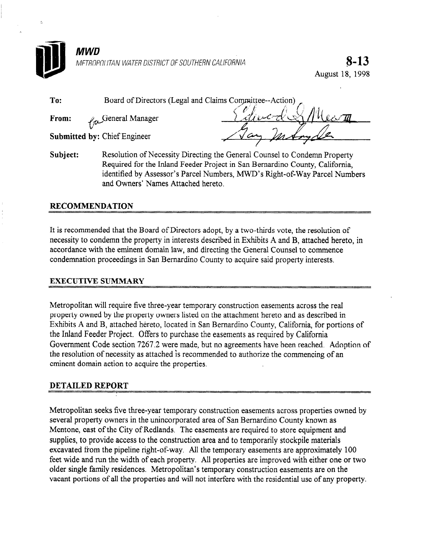

8-13 August 18, I998

| To:   | Board of Directors (Legal and Claims Committee--Action) |                               |  |
|-------|---------------------------------------------------------|-------------------------------|--|
| From: | <i>La</i> General Manager                               | divers 81<br>$\mu$ Ueco $\pi$ |  |
|       | <b>Submitted by: Chief Engineer</b>                     | In Some S/R                   |  |

Subject: Resolution of Necessity Directing the General Counsel to Condemn Property Required for the Inland Feeder Project in San Bernardino County, California, identified by Assessor's Parcel Numbers, MWD's Right-of-Way Parcel Numbers and Owners' Names Attached hereto.

### RECOMMENDATION

 $\mathfrak{L}$ 

It is recommended that the Board of Directors adopt, by a two-thirds vote, the resolution of necessity to condemn the property in interests described in Exhibits A and B, attached hereto, in accordance with the eminent domain law, and directing the General Counsel to commence condemnation proceedings in San Bernardino County to acquire said property interests.

### EXECUTIVE SUMMARY

Metropolitan will require five three-year temporary construction easements across the real property owned by the property owners listed on the attachment hereto and as described in Exhibits A and B, attached hereto, located in San Bernardino County, California, for portions of the Inland Feeder Project. Offers to purchase the easements as required by California Government Code section 7267.2 were made, but no agreements have been reached. Adoption of the resolution of necessity as attached is recommended to authorize the commencing of an eminent domain action to acquire the properties.

### DETAILED REPORT

Metropolitan seeks five three-year temporary construction easements across properties owned by several property owners in the unincorporated area of San Bernardino County known as Mentone, east of the City of Redlands. The easements are required to store equipment and supplies, to provide access to the construction area and to temporarily stockpile materials excavated from the pipeline right-of-way. All the temporary easements are approximately 100 feet wide and run the width of each property. All properties are improved with either one or two older single family residences. Metropolitan's temporary construction easements are on the vacant portions of all the properties and will not interfere with the residential use of any property.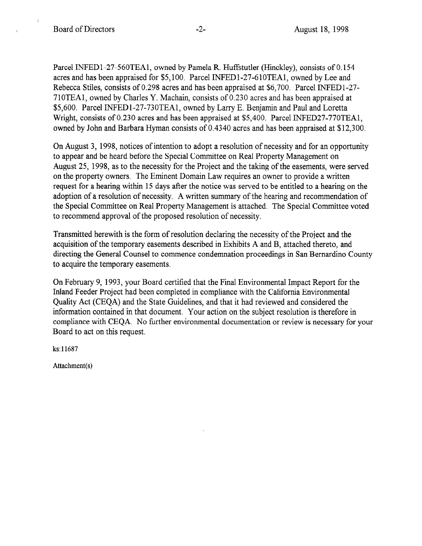$\ddot{\cdot}$ 

Parcel INFEDl-27-560TEA1, owned by Pamela R. Huffstutler (Hinckley), consists of 0.154 acres and has been appraised for \$5,100. Parcel INFEDl-27-610TEA1, owned by Lee and Rebecca Stiles, consists of 0.298 acres and has been appraised at \$6,700. Parcel INFEDl-27- 710TEA1, owned by Charles Y. Machain, consists of 0.230 acres and has been appraised at \$5,600. Parcel INFEDl-27-73OTEA1, owned by Larry E. Benjamin and Paul and Loretta Wright, consists of 0.230 acres and has been appraised at \$5,400. Parcel INFED27-770TEA1, owned by John and Barbara Hyman consists of 0.4340 acres and has been appraised at \$12,300.

On August 3, 1998, notices of intention to adopt a resolution of necessity and for an opportunity to appear and be heard before the Special Committee on Real Property Management on August 25, 1998, as to the necessity for the Project and the taking of the easements, were served on the property owners. The Eminent Domain Law requires an owner to provide a written request for a hearing within 15 days after the notice was served to be entitled to a hearing on the adoption of a resolution of necessity. A written summary of the hearing and recommendation of the Special Committee on Real Property Management is attached. The Special Committee voted to recommend approval of the proposed resolution of necessity.

Transmitted herewith is the form of resolution declaring the necessity of the Project and the acquisition of the temporary easements described in Exhibits A and B, attached thereto, and directing the General Counsel to commence condemnation proceedings in San Bernardino County to acquire the temporary easements.

On February 9, 1993, your Board certified that the Final Environmental Impact Report for the Inland Feeder Project had been completed in compliance with the California Environmental Quality Act (CEQA) and the State Guidelines, and that it had reviewed and considered the information contained in that document. Your action on the subject resolution is therefore in compliance with CEQA. No further environmental documentation or review is necessary for your Board to act on this request.

ks: 11687

Attachment(s)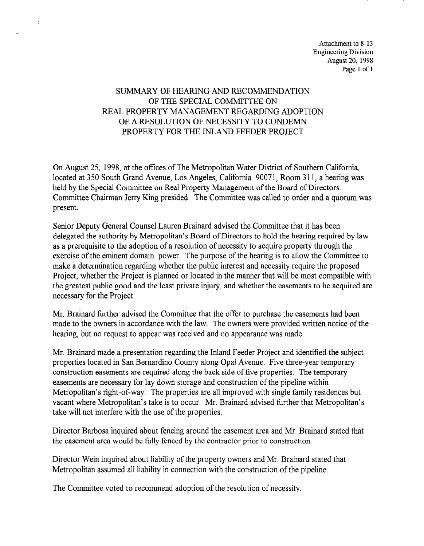Attachment to 8-13 Engineering Division August 20, 1998 Page 1 of 1

## SUMMARY OF HEARING AND RECOMMENDATION OF THE SPECIAL COMMITTEE ON REAL PROPERTY MANAGEMENT REGARDING ADOPTION OF A RESOLUTION OF NECESSITY TO CONDEMN PROPERTY FOR THE INLAND FEEDER PROJECT

 $\mathbb{R}^2$ 

On August 25, 1998, at the offices of The Metropolitan Water District of Southern California, located at 350 South Grand Avenue, Los Angeles, California 90071, Room 3 11, a hearing was held by the Special Committee on Real Property Management of the Board of Directors. Committee Chairman Jerry Ring presided. The Committee was called to order and a quorum was present.

Senior Deputy General Counsel Lauren Brainard advised the Committee that it has been delegated the authority by Metropolitan's Board of Directors to hold the hearing required by law as a prerequisite to the adoption of a resolution of necessity to acquire property through the exercise of the eminent domain power. The purpose of the hearing is to allow the Committee to exergive or the gradient domain politician regarding whether the measure of the community make a determination regarding whether the plane interest and necessity require the proposed the greatest public greatest private and the manner that where the enough comparison when ne greatest public good?

Mr. Brainard further advised the Committee that the offer to purchase the easements had been with **Dramaru** further advised the Committee that the other to purchase the easements had been made to the owners in accordance with the law. The owners were provided written notice of the hearing, but no request to appear was received and no appearance was made.

Mr. Brainard made a presentation regarding the Inland Feeder Project and identified the subject properties located in San Bernardino County along Opal Avenue. Five three-year temporary construction easements are required along the back side of five properties. The temporary easements are necessary for lay down storage and construction of the pipeline within Metropolitan's right-of-way. The properties are all improved with single family residences but vacant where Metropolitan's take is to occur. Mr. Brainard advised further that Metropolitan's take will not interfere with the use of the properties.

Director Barbosa inquired about fencing around the easement area and Mr. Brainard stated that the easement area would be fully fenced by the contractor prior to construction.

Director Wein inquired about liability of the property owners and Mr. Brainard stated that Metropolitan assumed all liability in connection with the construction of the pipeline.

The Committee voted to recommend adoption of the resolution of necessity.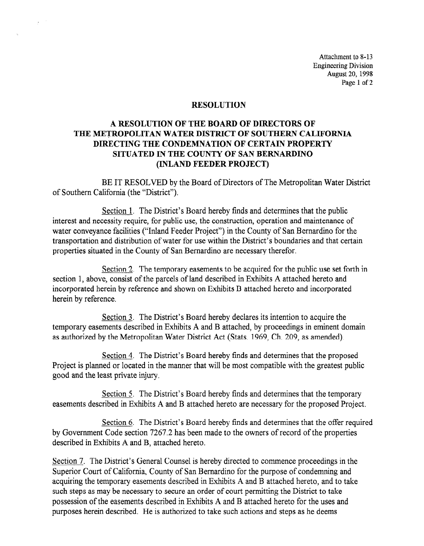Attachment to 8-13 Engineering Division August 20, 1998 Page 1 of 2

#### **RESOLUTION**

 $\frac{1}{2}$  ,  $\frac{1}{2}$ 

## A RESOLUTION OF THE BOARD OF DIRECTORS OF THE METROPOLITAN WATER DISTRICT OF SOUTHERN CALIFORNIA DIRECTING THE CONDEMNATION OF CERTAIN PROPERTY SITUATED IN THE COUNTY OF SAN BERNARDINO (INLAND FEEDER PROJECT)

BE IT RESOLVED by the Board of Directors of The Metropolitan Water District of Southern California (the "District").

Section 1. The District's Board hereby finds and determines that the public interest and necessity require, for public use, the construction, operation and maintenance of water conveyance facilities ("Inland Feeder Project") in the County of San Bernardino for the transportation and distribution of water for use within the District's boundaries and that certain properties situated in the County of San Bernardino are necessary therefor.

Section 2. The temporary easements to be acquired for the public use set forth in  $\frac{S(\alpha, \alpha)}{2}$ . The temporary case members to be acquired for the parche ase set to  $\frac{1}{2}$  incorporated here incorporated here in Exhibits  $B$  attached hereto and incorporated hereto and incorporated here is  $\frac{1}{2}$ incorporated herein by reference and shown on Exhibits B attached hereto and incorporated herein by reference.

Section 3. The District's Board hereby declares its intention to acquire the  $t$  decided by a and Exhibits B and B and B and B and B and B and B at the model in exhibit  $\alpha$  and  $\beta$ temporary easements described in Exhibits A and B attached, by proceedings in eminent domain as authorized by the Metropolitan Water District Act (Stats. 1969, Ch. 209, as amended).

Section 4. The District's Board hereby finds and determines that the proposed Project is planned or located in the manner that will be most compatible with the greatest public good and the least private injury.

Section 5. The District's Board hereby finds and determines that the temporary easements described in Exhibits A and B attached hereto are necessary for the proposed Project.

Section 6. The District's Board hereby finds and determines that the offer required by Government Code section 7267.2 has been made to the owners of record of the properties described in Exhibits A and B, attached hereto.

Section 7. The District's General Counsel is hereby directed to commence proceedings in the Superior Court of California, County of San Bernardino for the purpose of condemning and acquiring the temporary easements described in Exhibits A and B attached hereto, and to take such steps as may be necessary to secure an order of court permitting the District to take possession of the easements described in Exhibits A and B attached hereto for the uses and purposes herein described. He is authorized to take such actions and steps as he deems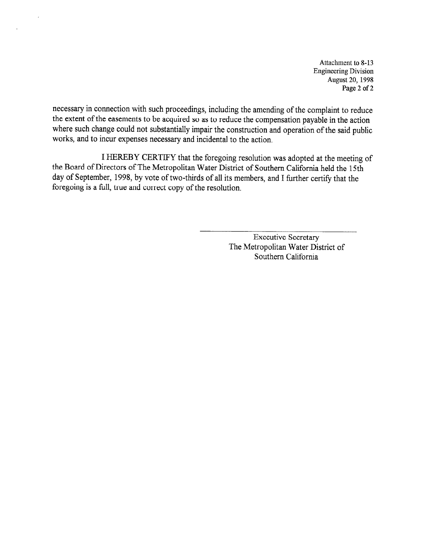Attachment to 8-13 Engineering Division August 20, 1998 Page 2 of 2

necessary in connection with such proceedings, including the amending of the complaint to reduce the extent of the easements to be acquired so as to reduce the compensation payable in the action where such change could not substantially impair the construction and operation of the said public works, and to incur expenses necessary and incidental to the action.

I HEREBY CERTIFY that the foregoing resolution was adopted at the meeting of the Board of Directors of The Metropolitan Water District of Southern California held the 15th day of September, 1998, by vote of two-thirds of all its members, and I further certify that the foregoing is a full, true and correct copy of the resolution.

> Executive Secretary The Metropolitan Water District of Southern California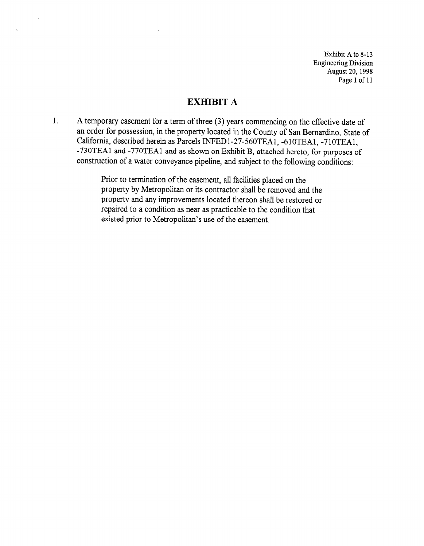Exhibit A to 8-13 Engineering Division August 20,199s Page 1 of 11

## EXHIBIT A

1. A temporary easement for a term of three (3) years commencing on the effective date of an order for possession, in the property located in the County of San Bernardino, State of California, described herein as Parcels INFEDl-27-560TEA1, -6lOTEA1, -7lOTEA1, -730TEAl and -770TEAl and as shown on Exhibit B, attached hereto, for purposes of construction of a water conveyance pipeline, and subject to the following conditions:

> Prior to termination of the easement, all facilities placed on the property by Metropolitan or its contractor shall be removed and the property and any improvements located thereon shall be restored or repaired to a condition as near as practicable to the condition that existed prior to Metropolitan's use of the easement.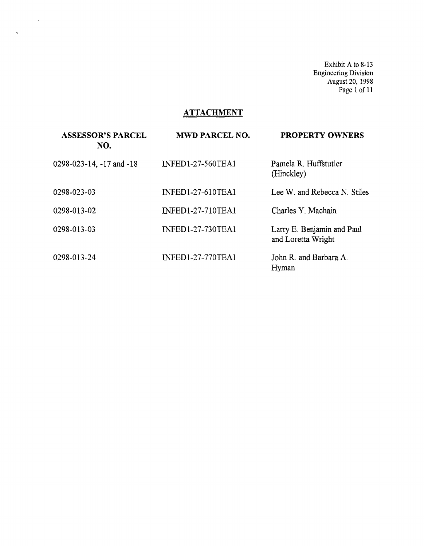Exhibit A to 8-13 Engineering Division August 20, 1998 Page 1 of 11

# **ATTACHMENT**

 $\sim 10^{-10}$ 

 $\hat{c}_i$ 

| <b>ASSESSOR'S PARCEL</b><br>NO. | <b>MWD PARCEL NO.</b>    | <b>PROPERTY OWNERS</b>                           |
|---------------------------------|--------------------------|--------------------------------------------------|
| 0298-023-14, -17 and -18        | <b>INFED1-27-560TEA1</b> | Pamela R. Huffstutler<br>(Hinckley)              |
| 0298-023-03                     | <b>INFED1-27-610TEA1</b> | Lee W. and Rebecca N. Stiles                     |
| 0298-013-02                     | <b>INFED1-27-710TEA1</b> | Charles Y. Machain                               |
| 0298-013-03                     | <b>INFED1-27-730TEA1</b> | Larry E. Benjamin and Paul<br>and Loretta Wright |
| 0298-013-24                     | <b>INFED1-27-770TEA1</b> | John R. and Barbara A.<br>Hyman                  |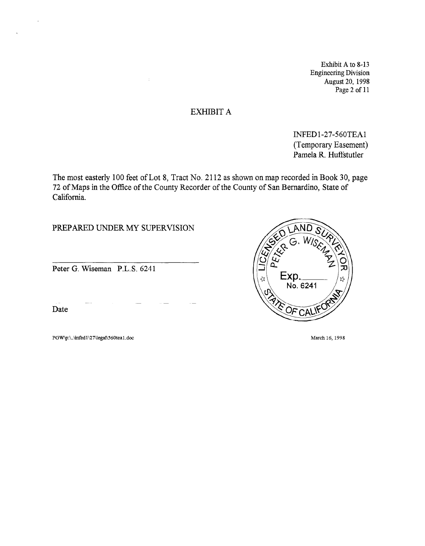Exhibit A to 8-13 Engineering Division August 20, 1998 Page 2 of 11

### EXHIBIT A

INFED 1-27-560TEAl (Temporary Easement) Pamela R. Huffstutler

The most easterly 100 feet of Lot 8, Tract No. 2112 as shown on map recorded in Book 30, page 72 of Maps in the Office of the County Recorder of the County of San Bernardino, State of California.

PREPARED UNDER MY SUPERVISION

Peter G. Wiseman P.L.S. 6241

Date

 $\ddot{\phantom{1}}$ 

PGW\p:\.\infed1\27\legal\560tea1.doc March 16, 1998

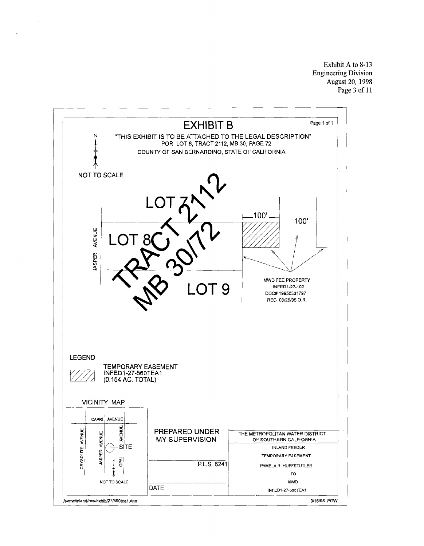Exhibit A to S-13 Engineering Division August 20, 1998 Page3 of 11

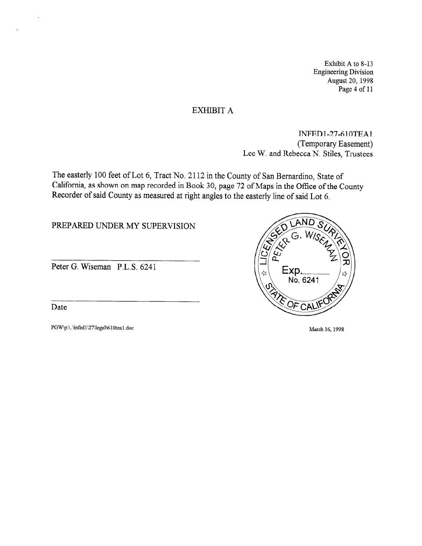Exhibit A to 8-13 Engineering Division August 20, 1998 Page 4 of 11

### EXHIBIT A

INFEDl-27-610TEAl (Temporary Easement) Lee W. and Rebecca N. Stiles, Trustees

The easterly 100 feet of Lot 6, Tract No. 2112 in the County of San Bernardino, State of California, as shown on map recorded in Book 30, page 72 of Maps in the Office of the County Recorder of said County as measured at right angles to the easterly line of said Lot 6.

PREPARED UNDER MY SUPERVISION

Peter G. Wiseman P.L.S. 6241

Date

 $\hat{\sigma}_i$ 

PGW\p:\.\infed1\27\legal\610tea1.doc March 16, 1998

Exp. No. 6241 E OF CAL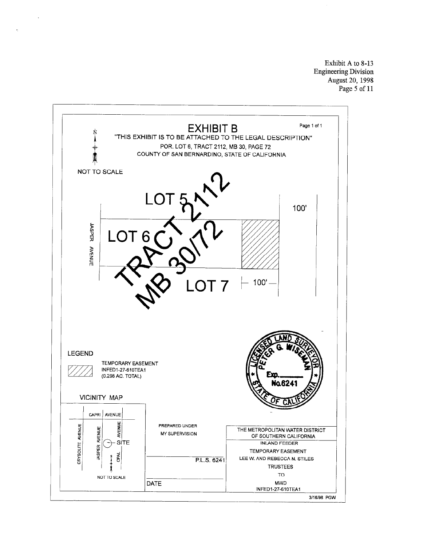Exhibit A to 8-13 Engineering Division August 20, 1998 Page 5 of 11

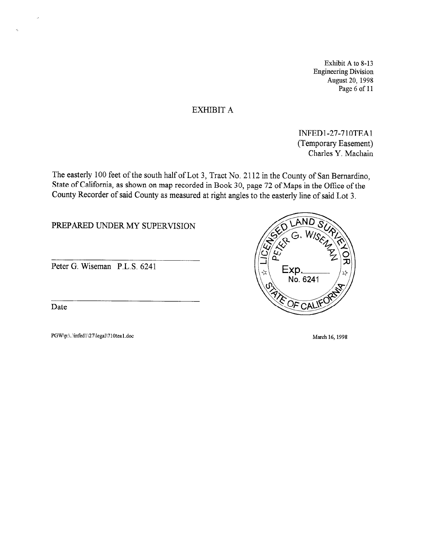Exhibit A to 8-13 Engineering Division August 20, 1998 Page 6 of 11

## EXHIBIT A

INFEDl-27-710TEAl (Temporary Easement) Charles Y. Machain

The easterly 100 feet of the south half of Lot 3, Tract No. 2112 in the County of San Bernardino, State of California, as shown on map recorded in Book 30, page 72 of Maps in the Office of the County Recorder of said County as measured at right angles to the easterly line of said Lot 3.

PREPARED UNDER MY SUPERVISION

Peter G. Wiseman P.L.S. 6241

Date

 $\tilde{\mathcal{C}}$ 

PGW\p:\..\infed1\27\legal\710tea1.doc March 16, 1998

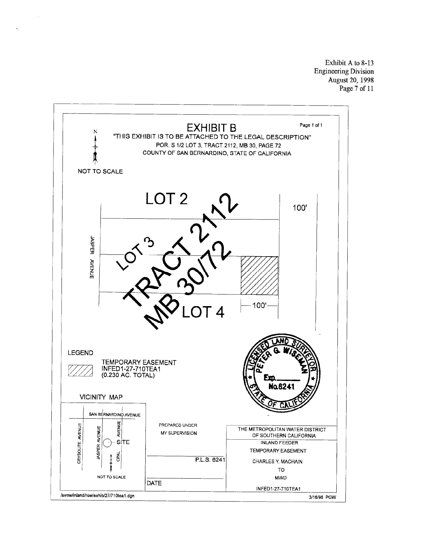Exhibit A to 8-13 Engineering Division August 20, 1998 Page 7 of 11



 $\tilde{\mathbf{r}}_i$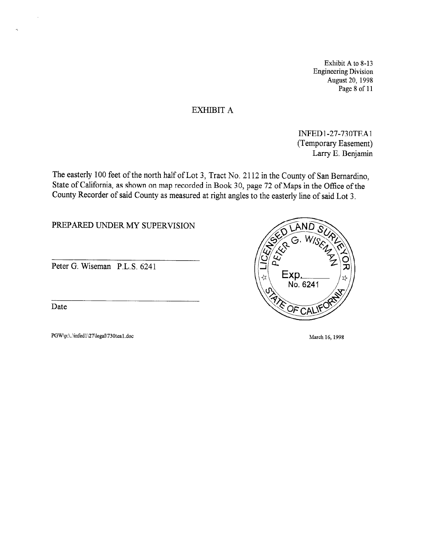Exhibit A to 8-13 Engineering Division August 20, 1998 Page 8 of 11

### EXHIBIT A

INFED l-27-73 OTEAl (Temporary Easement) Larry E. Benjamin

The easterly 100 feet of the north half of Lot 3, Tract No. 2112 in the County of San Bernardino, State of California, as shown on map recorded in Book 30, page 72 of Maps in the Office of the County Recorder of said County as measured at right angles to the easterly line of said Lot 3.

PREPARED UNDER MY SUPERVISION

Peter G. Wiseman P.L.S. 6241

Date

k,

PGW\p:\.\infed1\27\legal\730tea1.doc March 16, 1998

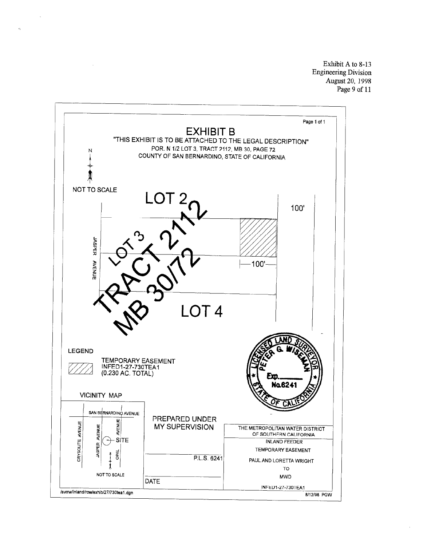Exhibit A to 8-13 Engineering Division August 20, 1998 Page 9 of 11



 $\hat{c}_k$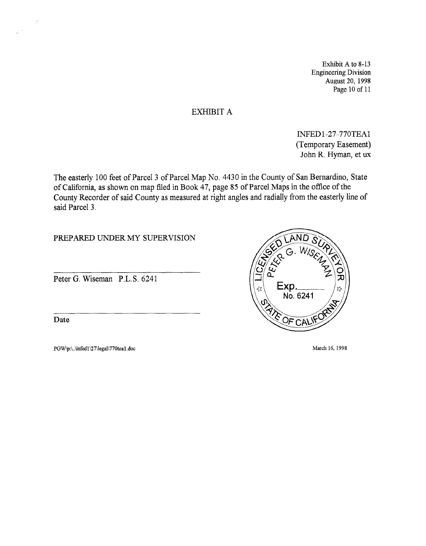Exhibit A to 8-13 Engineering Division August 20, 1998 Page 10 of 11

### EXHIBIT A

INFED 1-27-770TEAl (Temporary Easement) John R. Hyman, et ux

The easterly 100 feet of Parcel 3 of Parcel Map No. 4430 in the County of San Bernardino, State of California, as shown on map filed in Book 47, page 85 of Parcel Maps in the office of the County Recorder of said County as measured at right angles and radially from the easterly line of said Parcel 3.

PREPARED UNDER MY SUPERVISION

Peter G. Wiseman P.L.S. 6241

Date

 $\tilde{\mathcal{L}}$ 

 $\sim$